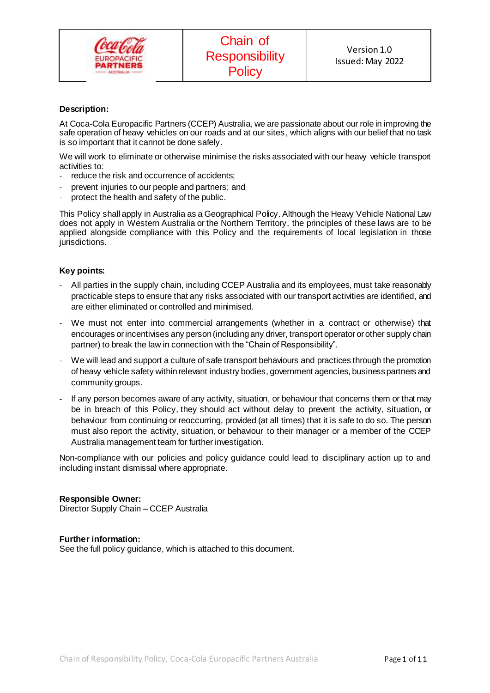

#### **Description:**

At Coca-Cola Europacific Partners (CCEP) Australia, we are passionate about our role in improving the safe operation of heavy vehicles on our roads and at our sites, which aligns with our belief that no task is so important that it cannot be done safely.

We will work to eliminate or otherwise minimise the risks associated with our heavy vehicle transport activities to:

- reduce the risk and occurrence of accidents;
- prevent injuries to our people and partners; and
- protect the health and safety of the public.

This Policy shall apply in Australia as a Geographical Policy. Although the Heavy Vehicle National Law does not apply in Western Australia or the Northern Territory, the principles of these laws are to be applied alongside compliance with this Policy and the requirements of local legislation in those jurisdictions.

#### **Key points:**

- All parties in the supply chain, including CCEP Australia and its employees, must take reasonably practicable steps to ensure that any risks associated with our transport activities are identified, and are either eliminated or controlled and minimised.
- We must not enter into commercial arrangements (whether in a contract or otherwise) that encourages or incentivises any person (including any driver, transport operator or other supply chain partner) to break the law in connection with the "Chain of Responsibility".
- We will lead and support a culture of safe transport behaviours and practices through the promotion of heavy vehicle safety within relevant industry bodies, government agencies, business partners and community groups.
- If any person becomes aware of any activity, situation, or behaviour that concerns them or that may be in breach of this Policy, they should act without delay to prevent the activity, situation, or behaviour from continuing or reoccurring, provided (at all times) that it is safe to do so. The person must also report the activity, situation, or behaviour to their manager or a member of the CCEP Australia management team for further investigation.

Non-compliance with our policies and policy guidance could lead to disciplinary action up to and including instant dismissal where appropriate.

#### **Responsible Owner:**

Director Supply Chain – CCEP Australia

#### **Further information:**

See the full policy guidance, which is attached to this document.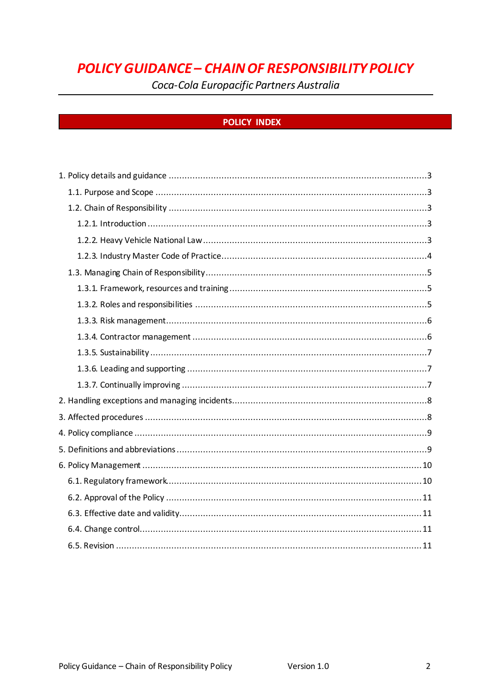# **POLICY GUIDANCE - CHAIN OF RESPONSIBILITY POLICY**

Coca-Cola Europacific Partners Australia

# **POLICY INDEX**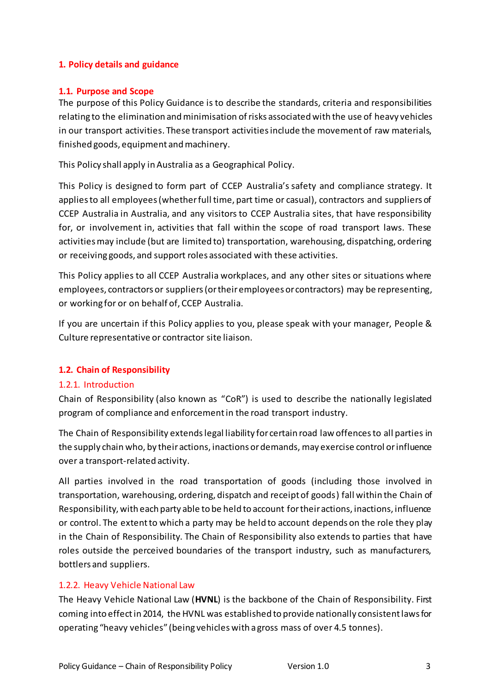#### <span id="page-2-0"></span>**1. Policy details and guidance**

#### <span id="page-2-1"></span>**1.1. Purpose and Scope**

The purpose of this Policy Guidance is to describe the standards, criteria and responsibilities relating to the elimination and minimisation of risks associated with the use of heavy vehicles in our transport activities. These transport activities include the movement of raw materials, finished goods, equipment and machinery.

This Policy shall apply in Australia as a Geographical Policy.

This Policy is designed to form part of CCEP Australia's safety and compliance strategy. It applies to all employees (whether full time, part time or casual), contractors and suppliers of CCEP Australia in Australia, and any visitors to CCEP Australia sites, that have responsibility for, or involvement in, activities that fall within the scope of road transport laws. These activities may include (but are limited to) transportation, warehousing, dispatching, ordering or receiving goods, and support roles associated with these activities.

This Policy applies to all CCEP Australia workplaces, and any other sites or situations where employees, contractors or suppliers (or their employees or contractors) may be representing, or working for or on behalf of, CCEP Australia.

If you are uncertain if this Policy applies to you, please speak with your manager, People & Culture representative or contractor site liaison.

# <span id="page-2-2"></span>**1.2. Chain of Responsibility**

# <span id="page-2-3"></span>1.2.1. Introduction

Chain of Responsibility (also known as "CoR") is used to describe the nationally legislated program of compliance and enforcement in the road transport industry.

The Chain of Responsibility extends legal liability for certain road law offences to all parties in the supply chain who, by their actions, inactions or demands, may exercise control or influence over a transport-related activity.

All parties involved in the road transportation of goods (including those involved in transportation, warehousing, ordering, dispatch and receipt of goods) fall within the Chain of Responsibility, with each party able to be held to account for their actions, inactions, influence or control. The extent to which a party may be held to account depends on the role they play in the Chain of Responsibility. The Chain of Responsibility also extends to parties that have roles outside the perceived boundaries of the transport industry, such as manufacturers, bottlers and suppliers.

# <span id="page-2-4"></span>1.2.2. Heavy Vehicle National Law

The Heavy Vehicle National Law (**HVNL**) is the backbone of the Chain of Responsibility. First coming into effect in 2014, the HVNL was established to provide nationally consistent laws for operating "heavy vehicles" (being vehicles with a gross mass of over 4.5 tonnes).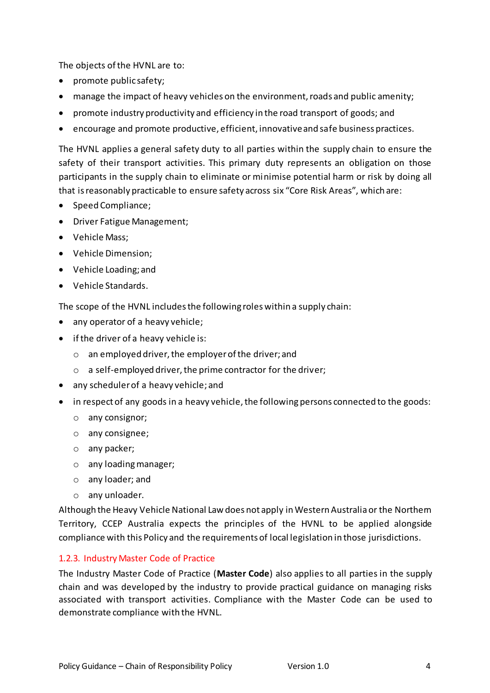The objects of the HVNL are to:

- promote public safety;
- manage the impact of heavy vehicles on the environment, roads and public amenity;
- promote industry productivity and efficiency in the road transport of goods; and
- encourage and promote productive, efficient, innovative and safe business practices.

The HVNL applies a general safety duty to all parties within the supply chain to ensure the safety of their transport activities. This primary duty represents an obligation on those participants in the supply chain to eliminate or minimise potential harm or risk by doing all that is reasonably practicable to ensure safety across six "Core Risk Areas", which are:

- Speed Compliance;
- Driver Fatigue Management;
- Vehicle Mass;
- Vehicle Dimension;
- Vehicle Loading; and
- Vehicle Standards.

The scope of the HVNL includes the following roles within a supply chain:

- any operator of a heavy vehicle;
- if the driver of a heavy vehicle is:
	- o an employed driver, the employer of the driver; and
	- o a self-employed driver, the prime contractor for the driver;
- any scheduler of a heavy vehicle; and
- in respect of any goods in a heavy vehicle, the following persons connected to the goods:
	- o any consignor;
	- o any consignee;
	- o any packer;
	- o any loading manager;
	- o any loader; and
	- o any unloader.

Although the Heavy Vehicle National Law does not apply in Western Australia or the Northern Territory, CCEP Australia expects the principles of the HVNL to be applied alongside compliance with this Policy and the requirements of local legislation in those jurisdictions.

# <span id="page-3-0"></span>1.2.3. Industry Master Code of Practice

The Industry Master Code of Practice (**Master Code**) also applies to all parties in the supply chain and was developed by the industry to provide practical guidance on managing risks associated with transport activities. Compliance with the Master Code can be used to demonstrate compliance with the HVNL.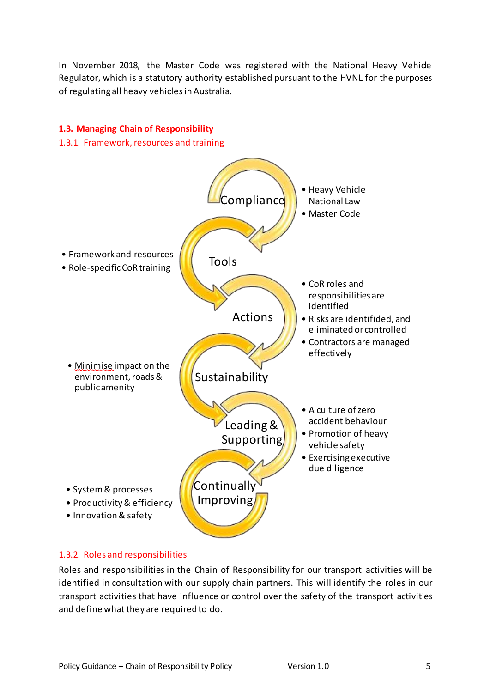In November 2018, the Master Code was registered with the National Heavy Vehide Regulator, which is a statutory authority established pursuant to the HVNL for the purposes of regulating all heavy vehicles in Australia.



# <span id="page-4-0"></span>**1.3. Managing Chain of Responsibility**

<span id="page-4-1"></span>1.3.1. Framework, resources and training

#### <span id="page-4-2"></span>1.3.2. Roles and responsibilities

Roles and responsibilities in the Chain of Responsibility for our transport activities will be identified in consultation with our supply chain partners. This will identify the roles in our transport activities that have influence or control over the safety of the transport activities and define what they are required to do.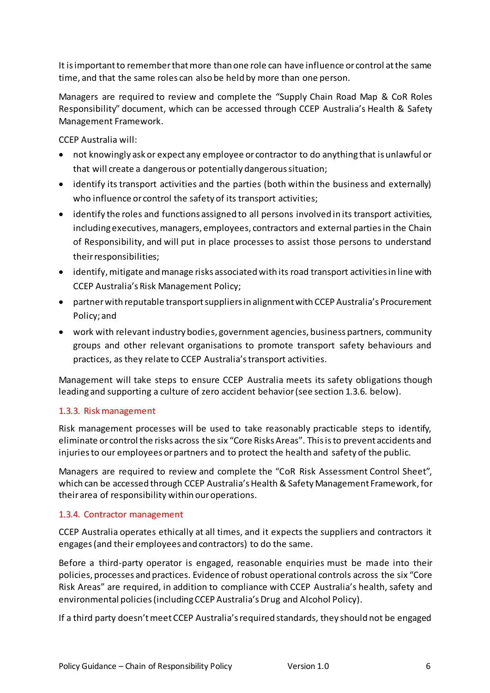It is important to remember that more than one role can have influence or control at the same time, and that the same roles can also be held by more than one person.

Managers are required to review and complete the "Supply Chain Road Map & CoR Roles Responsibility" document, which can be accessed through CCEP Australia's Health & Safety Management Framework.

CCEP Australia will:

- not knowingly ask or expect any employee or contractor to do anything that is unlawful or that will create a dangerous or potentially dangerous situation;
- identify its transport activities and the parties (both within the business and externally) who influence or control the safety of its transport activities;
- identify the roles and functions assigned to all persons involved in its transport activities, including executives, managers, employees, contractors and external parties in the Chain of Responsibility, and will put in place processes to assist those persons to understand their responsibilities;
- identify, mitigate and manage risks associated with its road transport activities in line with CCEP Australia's Risk Management Policy;
- partner with reputable transport suppliers in alignment with CCEP Australia's Procurement Policy; and
- work with relevant industry bodies, government agencies, business partners, community groups and other relevant organisations to promote transport safety behaviours and practices, as they relate to CCEP Australia's transport activities.

Management will take steps to ensure CCEP Australia meets its safety obligations though leading and supporting a culture of zero accident behavior (see section 1.3.6. below).

# <span id="page-5-0"></span>1.3.3. Risk management

Risk management processes will be used to take reasonably practicable steps to identify, eliminate or control the risks across the six "Core Risks Areas". This is to prevent accidents and injuries to our employees or partners and to protect the health and safety of the public.

Managers are required to review and complete the "CoR Risk Assessment Control Sheet", which can be accessed through CCEP Australia's Health & Safety Management Framework, for their area of responsibility within our operations.

# <span id="page-5-1"></span>1.3.4. Contractor management

CCEP Australia operates ethically at all times, and it expects the suppliers and contractors it engages (and their employees and contractors) to do the same.

Before a third-party operator is engaged, reasonable enquiries must be made into their policies, processes and practices. Evidence of robust operational controls across the six "Core Risk Areas" are required, in addition to compliance with CCEP Australia's health, safety and environmental policies (including CCEP Australia's Drug and Alcohol Policy).

If a third party doesn't meet CCEP Australia's required standards, they should not be engaged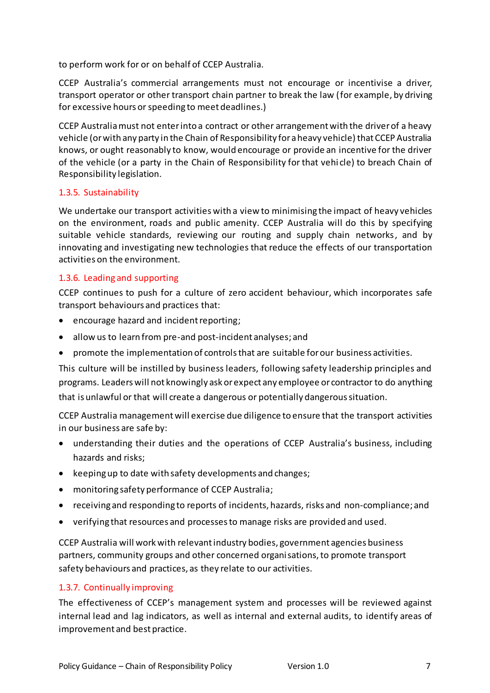to perform work for or on behalf of CCEP Australia.

CCEP Australia's commercial arrangements must not encourage or incentivise a driver, transport operator or other transport chain partner to break the law (for example, by driving for excessive hours or speeding to meet deadlines.)

CCEP Australia must not enter into a contract or other arrangement with the driver of a heavy vehicle (or with any party in the Chain of Responsibility for a heavy vehicle) that CCEP Australia knows, or ought reasonably to know, would encourage or provide an incentive for the driver of the vehicle (or a party in the Chain of Responsibility for that vehi cle) to breach Chain of Responsibility legislation.

# <span id="page-6-0"></span>1.3.5. Sustainability

We undertake our transport activities with a view to minimising the impact of heavy vehicles on the environment, roads and public amenity. CCEP Australia will do this by specifying suitable vehicle standards, reviewing our routing and supply chain networks, and by innovating and investigating new technologies that reduce the effects of our transportation activities on the environment.

#### <span id="page-6-1"></span>1.3.6. Leading and supporting

CCEP continues to push for a culture of zero accident behaviour, which incorporates safe transport behaviours and practices that:

- encourage hazard and incident reporting;
- allow us to learn from pre-and post-incident analyses; and
- promote the implementation of controls that are suitable for our business activities.

This culture will be instilled by business leaders, following safety leadership principles and programs. Leaders will not knowingly ask or expect any employee or contractor to do anything that is unlawful or that will create a dangerous or potentially dangerous situation.

CCEP Australia managementwill exercise due diligence to ensure that the transport activities in our business are safe by:

- understanding their duties and the operations of CCEP Australia's business, including hazards and risks;
- keeping up to date with safety developments and changes;
- monitoring safety performance of CCEP Australia;
- receiving and responding to reports of incidents, hazards, risks and non-compliance; and
- verifying that resources and processes to manage risks are provided and used.

CCEP Australia will work with relevant industry bodies, government agencies business partners, community groups and other concerned organisations, to promote transport safety behaviours and practices, as they relate to our activities.

# <span id="page-6-2"></span>1.3.7. Continually improving

The effectiveness of CCEP's management system and processes will be reviewed against internal lead and lag indicators, as well as internal and external audits, to identify areas of improvement and best practice.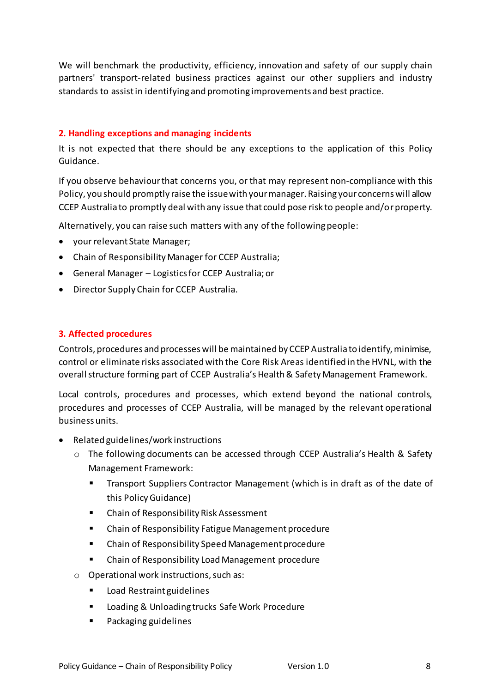We will benchmark the productivity, efficiency, innovation and safety of our supply chain partners' transport-related business practices against our other suppliers and industry standards to assist in identifying and promoting improvements and best practice.

# <span id="page-7-0"></span>**2. Handling exceptions and managing incidents**

It is not expected that there should be any exceptions to the application of this Policy Guidance.

If you observe behaviour that concerns you, or that may represent non-compliance with this Policy, you should promptly raise the issue with your manager. Raising your concerns will allow CCEP Australia to promptly deal with any issue that could pose risk to people and/or property.

Alternatively, you can raise such matters with any of the following people:

- your relevant State Manager;
- Chain of Responsibility Manager for CCEP Australia;
- General Manager Logistics for CCEP Australia; or
- Director Supply Chain for CCEP Australia.

# <span id="page-7-1"></span>**3. Affected procedures**

Controls, procedures and processes will be maintained by CCEP Australia to identify, minimise, control or eliminate risks associated with the Core Risk Areas identified in the HVNL, with the overall structure forming part of CCEP Australia's Health & Safety Management Framework.

Local controls, procedures and processes, which extend beyond the national controls, procedures and processes of CCEP Australia, will be managed by the relevant operational business units.

- Related guidelines/work instructions
	- $\circ$  The following documents can be accessed through CCEP Australia's Health & Safety Management Framework:
		- Transport Suppliers Contractor Management (which is in draft as of the date of this Policy Guidance)
		- Chain of Responsibility Risk Assessment
		- Chain of Responsibility Fatigue Management procedure
		- Chain of Responsibility Speed Management procedure
		- Chain of Responsibility Load Management procedure
	- o Operational work instructions, such as:
		- Load Restraint guidelines
		- Loading & Unloading trucks Safe Work Procedure
		- Packaging guidelines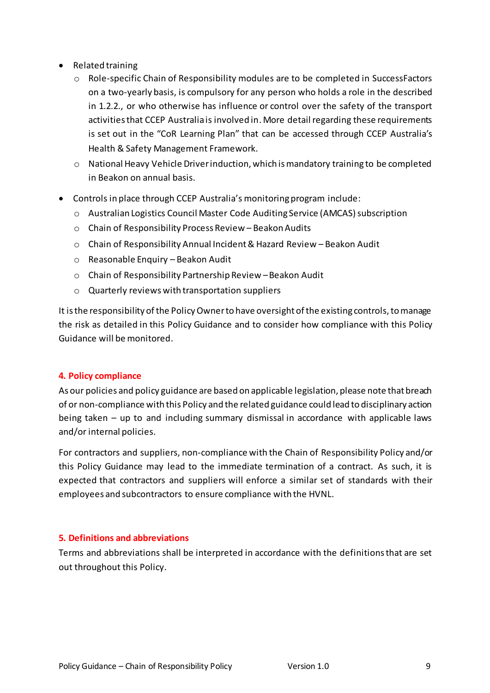- Related training
	- o Role-specific Chain of Responsibility modules are to be completed in SuccessFactors on a two-yearly basis, is compulsory for any person who holds a role in the described in 1.2.2., or who otherwise has influence or control over the safety of the transport activities that CCEP Australia is involved in. More detail regarding these requirements is set out in the "CoR Learning Plan" that can be accessed through CCEP Australia's Health & Safety Management Framework.
	- o National Heavy Vehicle Driver induction, which is mandatory training to be completed in Beakon on annual basis.
- Controls in place through CCEP Australia's monitoring program include:
	- o Australian Logistics Council Master Code Auditing Service (AMCAS) subscription
	- o Chain of Responsibility Process Review Beakon Audits
	- o Chain of Responsibility Annual Incident & Hazard Review Beakon Audit
	- o Reasonable Enquiry Beakon Audit
	- o Chain of Responsibility Partnership Review –Beakon Audit
	- o Quarterly reviews with transportation suppliers

It is the responsibility of the Policy Owner to have oversight of the existing controls, to manage the risk as detailed in this Policy Guidance and to consider how compliance with this Policy Guidance will be monitored.

# <span id="page-8-0"></span>**4. Policy compliance**

As our policies and policy guidance are based on applicable legislation, please note that breach of or non-compliance with this Policy and the related guidance could lead to disciplinary action being taken – up to and including summary dismissal in accordance with applicable laws and/or internal policies.

For contractors and suppliers, non-compliance with the Chain of Responsibility Policy and/or this Policy Guidance may lead to the immediate termination of a contract. As such, it is expected that contractors and suppliers will enforce a similar set of standards with their employees and subcontractors to ensure compliance with the HVNL.

# <span id="page-8-1"></span>**5. Definitions and abbreviations**

Terms and abbreviations shall be interpreted in accordance with the definitions that are set out throughout this Policy.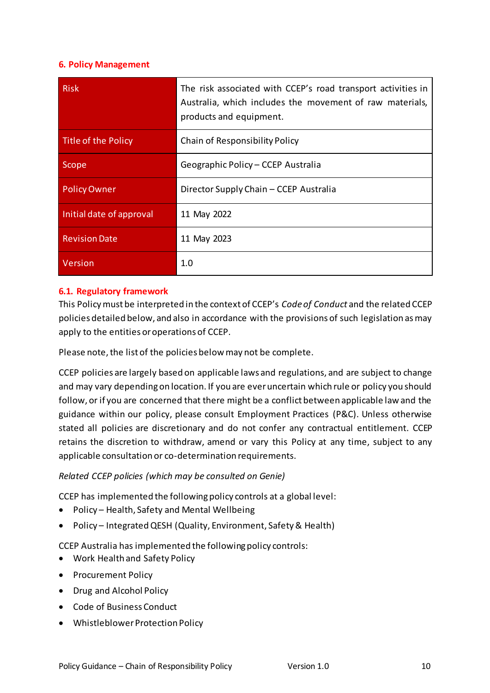#### <span id="page-9-0"></span>**6. Policy Management**

| <b>Risk</b>              | The risk associated with CCEP's road transport activities in<br>Australia, which includes the movement of raw materials,<br>products and equipment. |
|--------------------------|-----------------------------------------------------------------------------------------------------------------------------------------------------|
| Title of the Policy      | Chain of Responsibility Policy                                                                                                                      |
| Scope                    | Geographic Policy - CCEP Australia                                                                                                                  |
| <b>Policy Owner</b>      | Director Supply Chain - CCEP Australia                                                                                                              |
| Initial date of approval | 11 May 2022                                                                                                                                         |
| <b>Revision Date</b>     | 11 May 2023                                                                                                                                         |
| Version                  | 1.0                                                                                                                                                 |

# <span id="page-9-1"></span>**6.1. Regulatory framework**

This Policy must be interpreted in the context of CCEP's *Code of Conduct* and the related CCEP policies detailed below, and also in accordance with the provisions of such legislation as may apply to the entities or operations of CCEP.

Please note, the list of the policies below may not be complete.

CCEP policies are largely based on applicable laws and regulations, and are subject to change and may vary depending on location. If you are ever uncertain which rule or policy you should follow, or if you are concerned that there might be a conflict between applicable law and the guidance within our policy, please consult Employment Practices (P&C). Unless otherwise stated all policies are discretionary and do not confer any contractual entitlement. CCEP retains the discretion to withdraw, amend or vary this Policy at any time, subject to any applicable consultation or co-determination requirements.

# *Related CCEP policies (which may be consulted on Genie)*

CCEP has implemented the following policy controls at a global level:

- Policy Health, Safety and Mental Wellbeing
- Policy Integrated QESH (Quality, Environment, Safety & Health)

CCEP Australia has implemented the following policy controls:

- Work Health and Safety Policy
- Procurement Policy
- Drug and Alcohol Policy
- Code of Business Conduct
- Whistleblower Protection Policy